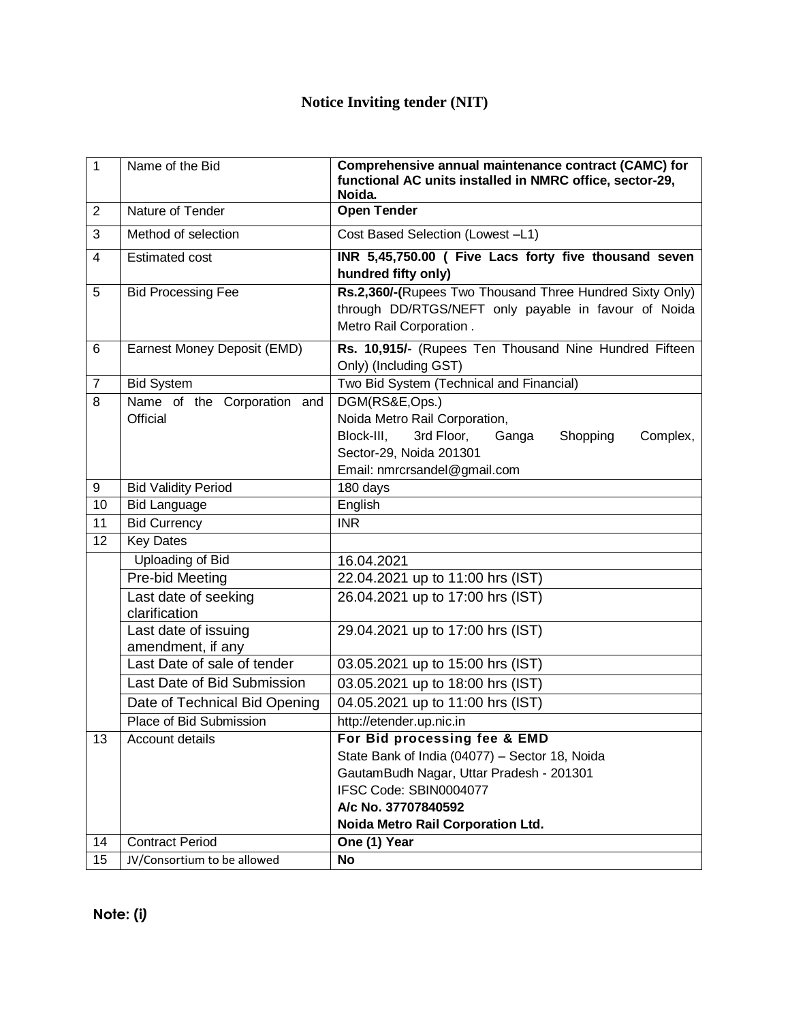## **Notice Inviting tender (NIT)**

| $\mathbf{1}$   | Name of the Bid                                       | Comprehensive annual maintenance contract (CAMC) for<br>functional AC units installed in NMRC office, sector-29,<br>Noida.                  |
|----------------|-------------------------------------------------------|---------------------------------------------------------------------------------------------------------------------------------------------|
| $\overline{2}$ | Nature of Tender                                      | <b>Open Tender</b>                                                                                                                          |
| 3              | Method of selection                                   | Cost Based Selection (Lowest -L1)                                                                                                           |
| $\overline{4}$ | <b>Estimated cost</b>                                 | INR 5,45,750.00 ( Five Lacs forty five thousand seven<br>hundred fifty only)                                                                |
| 5              | <b>Bid Processing Fee</b>                             | Rs.2,360/-(Rupees Two Thousand Three Hundred Sixty Only)<br>through DD/RTGS/NEFT only payable in favour of Noida<br>Metro Rail Corporation. |
| 6              | Earnest Money Deposit (EMD)                           | Rs. 10,915/- (Rupees Ten Thousand Nine Hundred Fifteen<br>Only) (Including GST)                                                             |
| $\overline{7}$ | <b>Bid System</b>                                     | Two Bid System (Technical and Financial)                                                                                                    |
| $\overline{8}$ | Name of the Corporation and                           | DGM(RS&E,Ops.)                                                                                                                              |
|                | <b>Official</b>                                       | Noida Metro Rail Corporation,                                                                                                               |
|                |                                                       | Block-III.<br>3rd Floor,<br>Shopping<br>Ganga<br>Complex,                                                                                   |
|                |                                                       | Sector-29, Noida 201301                                                                                                                     |
|                |                                                       | Email: nmrcrsandel@gmail.com                                                                                                                |
| 9              | <b>Bid Validity Period</b>                            | 180 days                                                                                                                                    |
| 10<br>11       | <b>Bid Language</b><br><b>Bid Currency</b>            | English<br><b>INR</b>                                                                                                                       |
| 12             | <b>Key Dates</b>                                      |                                                                                                                                             |
|                | Uploading of Bid                                      | 16.04.2021                                                                                                                                  |
|                | Pre-bid Meeting                                       | 22.04.2021 up to 11:00 hrs (IST)                                                                                                            |
|                | Last date of seeking                                  | 26.04.2021 up to 17:00 hrs (IST)                                                                                                            |
|                | clarification                                         |                                                                                                                                             |
|                | Last date of issuing<br>amendment, if any             | 29.04.2021 up to 17:00 hrs (IST)                                                                                                            |
|                | Last Date of sale of tender                           | 03.05.2021 up to 15:00 hrs (IST)                                                                                                            |
|                | Last Date of Bid Submission                           | 03.05.2021 up to 18:00 hrs (IST)                                                                                                            |
|                | Date of Technical Bid Opening                         | 04.05.2021 up to 11:00 hrs (IST)                                                                                                            |
|                | Place of Bid Submission                               | http://etender.up.nic.in                                                                                                                    |
| 13             | Account details                                       | For Bid processing fee & EMD                                                                                                                |
|                |                                                       | State Bank of India (04077) - Sector 18, Noida                                                                                              |
|                |                                                       | GautamBudh Nagar, Uttar Pradesh - 201301                                                                                                    |
|                |                                                       | IFSC Code: SBIN0004077                                                                                                                      |
|                |                                                       | A/c No. 37707840592                                                                                                                         |
|                |                                                       | Noida Metro Rail Corporation Ltd.                                                                                                           |
| 14<br>15       | <b>Contract Period</b><br>JV/Consortium to be allowed | One (1) Year<br><b>No</b>                                                                                                                   |
|                |                                                       |                                                                                                                                             |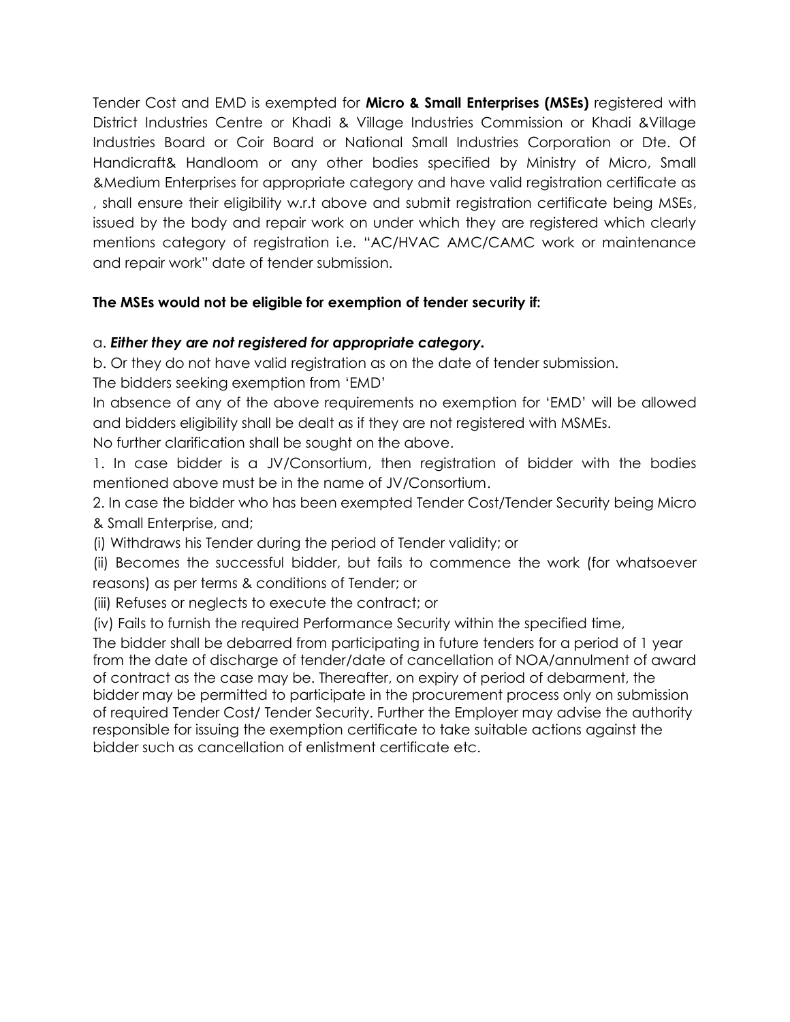Tender Cost and EMD is exempted for **Micro & Small Enterprises (MSEs)** registered with District Industries Centre or Khadi & Village Industries Commission or Khadi &Village Industries Board or Coir Board or National Small Industries Corporation or Dte. Of Handicraft& Handloom or any other bodies specified by Ministry of Micro, Small &Medium Enterprises for appropriate category and have valid registration certificate as , shall ensure their eligibility w.r.t above and submit registration certificate being MSEs, issued by the body and repair work on under which they are registered which clearly mentions category of registration i.e. "AC/HVAC AMC/CAMC work or maintenance and repair work" date of tender submission.

## **The MSEs would not be eligible for exemption of tender security if:**

## a. *Either they are not registered for appropriate category.*

b. Or they do not have valid registration as on the date of tender submission.

The bidders seeking exemption from 'EMD'

In absence of any of the above requirements no exemption for 'EMD' will be allowed and bidders eligibility shall be dealt as if they are not registered with MSMEs.

No further clarification shall be sought on the above.

1. In case bidder is a JV/Consortium, then registration of bidder with the bodies mentioned above must be in the name of JV/Consortium.

2. In case the bidder who has been exempted Tender Cost/Tender Security being Micro & Small Enterprise, and;

(i) Withdraws his Tender during the period of Tender validity; or

(ii) Becomes the successful bidder, but fails to commence the work (for whatsoever reasons) as per terms & conditions of Tender; or

(iii) Refuses or neglects to execute the contract; or

(iv) Fails to furnish the required Performance Security within the specified time,

The bidder shall be debarred from participating in future tenders for a period of 1 year from the date of discharge of tender/date of cancellation of NOA/annulment of award of contract as the case may be. Thereafter, on expiry of period of debarment, the bidder may be permitted to participate in the procurement process only on submission of required Tender Cost/ Tender Security. Further the Employer may advise the authority responsible for issuing the exemption certificate to take suitable actions against the bidder such as cancellation of enlistment certificate etc.